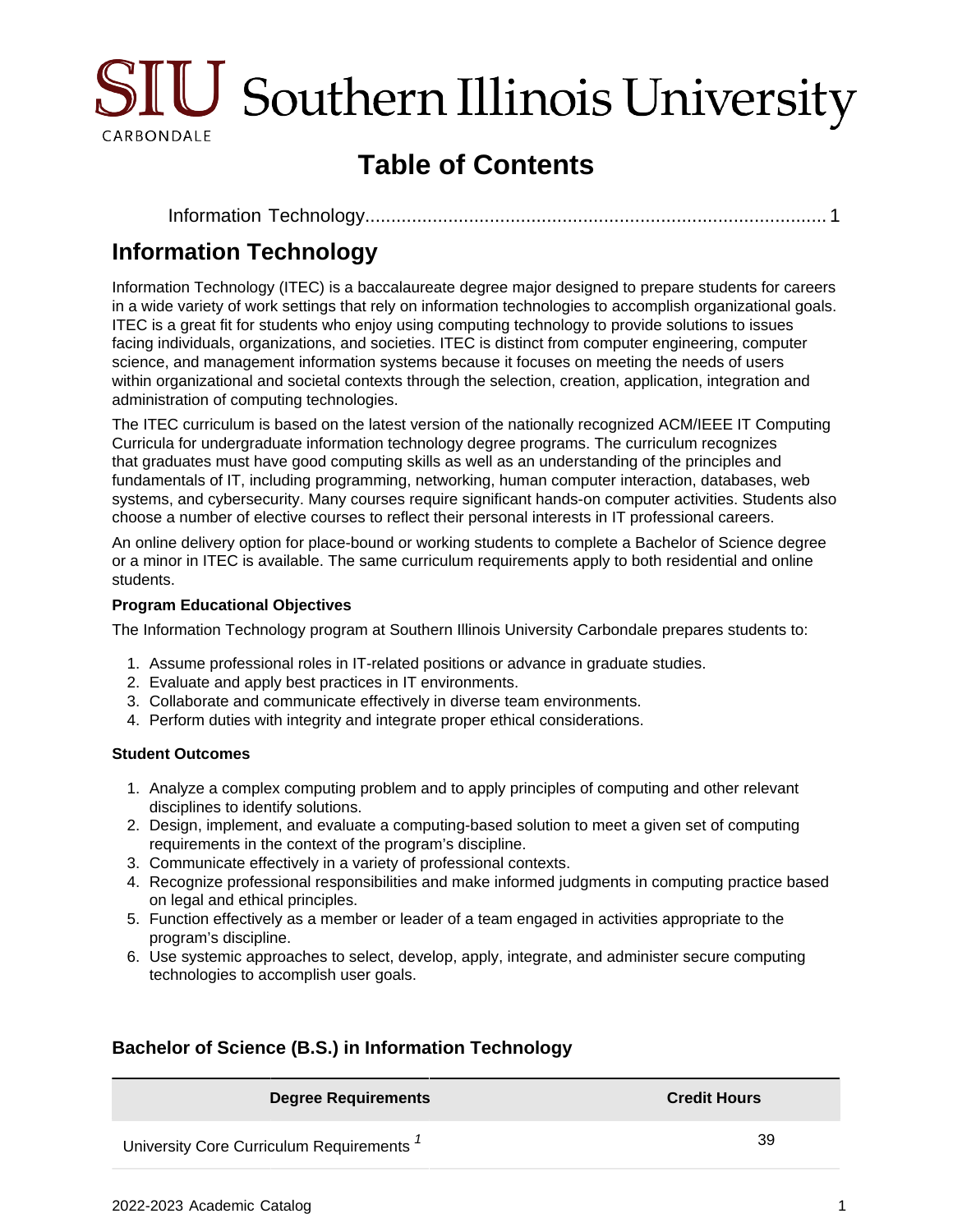

# **Table of Contents**

### <span id="page-0-0"></span>**Information Technology**

Information Technology (ITEC) is a baccalaureate degree major designed to prepare students for careers in a wide variety of work settings that rely on information technologies to accomplish organizational goals. ITEC is a great fit for students who enjoy using computing technology to provide solutions to issues facing individuals, organizations, and societies. ITEC is distinct from computer engineering, computer science, and management information systems because it focuses on meeting the needs of users within organizational and societal contexts through the selection, creation, application, integration and administration of computing technologies.

The ITEC curriculum is based on the latest version of the nationally recognized ACM/IEEE IT Computing Curricula for undergraduate information technology degree programs. The curriculum recognizes that graduates must have good computing skills as well as an understanding of the principles and fundamentals of IT, including programming, networking, human computer interaction, databases, web systems, and cybersecurity. Many courses require significant hands-on computer activities. Students also choose a number of elective courses to reflect their personal interests in IT professional careers.

An online delivery option for place-bound or working students to complete a Bachelor of Science degree or a minor in ITEC is available. The same curriculum requirements apply to both residential and online students.

#### **Program Educational Objectives**

The Information Technology program at Southern Illinois University Carbondale prepares students to:

- 1. Assume professional roles in IT-related positions or advance in graduate studies.
- 2. Evaluate and apply best practices in IT environments.
- 3. Collaborate and communicate effectively in diverse team environments.
- 4. Perform duties with integrity and integrate proper ethical considerations.

#### **Student Outcomes**

- 1. Analyze a complex computing problem and to apply principles of computing and other relevant disciplines to identify solutions.
- 2. Design, implement, and evaluate a computing-based solution to meet a given set of computing requirements in the context of the program's discipline.
- 3. Communicate effectively in a variety of professional contexts.
- 4. Recognize professional responsibilities and make informed judgments in computing practice based on legal and ethical principles.
- 5. Function effectively as a member or leader of a team engaged in activities appropriate to the program's discipline.
- 6. Use systemic approaches to select, develop, apply, integrate, and administer secure computing technologies to accomplish user goals.

#### **Bachelor of Science (B.S.) in Information Technology**

**Degree Requirements Credit Hours**

University Core Curriculum Requirements  $1$  39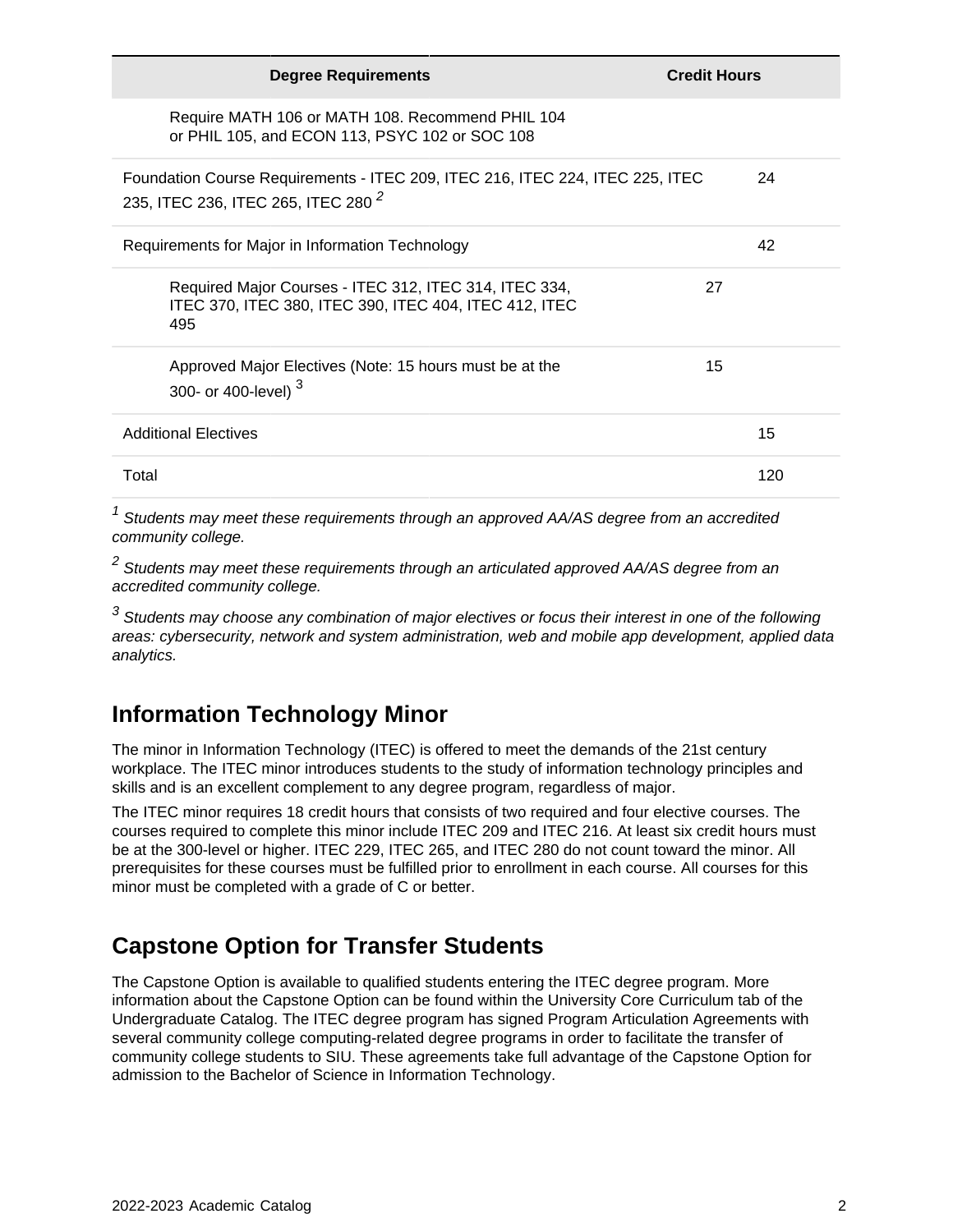| <b>Degree Requirements</b>                                                                                                      | <b>Credit Hours</b> |  |
|---------------------------------------------------------------------------------------------------------------------------------|---------------------|--|
| Require MATH 106 or MATH 108. Recommend PHIL 104<br>or PHIL 105, and ECON 113, PSYC 102 or SOC 108                              |                     |  |
| Foundation Course Requirements - ITEC 209, ITEC 216, ITEC 224, ITEC 225, ITEC<br>235, ITEC 236, ITEC 265, ITEC 280 <sup>2</sup> | 24                  |  |
| Requirements for Major in Information Technology                                                                                | 42                  |  |
| Required Major Courses - ITEC 312, ITEC 314, ITEC 334,<br>ITEC 370, ITEC 380, ITEC 390, ITEC 404, ITEC 412, ITEC<br>495         | 27                  |  |
| Approved Major Electives (Note: 15 hours must be at the<br>300- or 400-level) <sup>3</sup>                                      | 15                  |  |
| <b>Additional Electives</b>                                                                                                     | 15                  |  |
| Total                                                                                                                           | 120                 |  |
|                                                                                                                                 |                     |  |

 $1$  Students may meet these requirements through an approved AA/AS degree from an accredited community college.

 $^{\text{2}}$  Students may meet these requirements through an articulated approved AA/AS degree from an accredited community college.

 $3$  Students may choose any combination of major electives or focus their interest in one of the following areas: cybersecurity, network and system administration, web and mobile app development, applied data analytics.

### **Information Technology Minor**

The minor in Information Technology (ITEC) is offered to meet the demands of the 21st century workplace. The ITEC minor introduces students to the study of information technology principles and skills and is an excellent complement to any degree program, regardless of major.

The ITEC minor requires 18 credit hours that consists of two required and four elective courses. The courses required to complete this minor include ITEC 209 and ITEC 216. At least six credit hours must be at the 300-level or higher. ITEC 229, ITEC 265, and ITEC 280 do not count toward the minor. All prerequisites for these courses must be fulfilled prior to enrollment in each course. All courses for this minor must be completed with a grade of C or better.

## **Capstone Option for Transfer Students**

The Capstone Option is available to qualified students entering the ITEC degree program. More information about the Capstone Option can be found within the University Core Curriculum tab of the Undergraduate Catalog. The ITEC degree program has signed Program Articulation Agreements with several community college computing-related degree programs in order to facilitate the transfer of community college students to SIU. These agreements take full advantage of the Capstone Option for admission to the Bachelor of Science in Information Technology.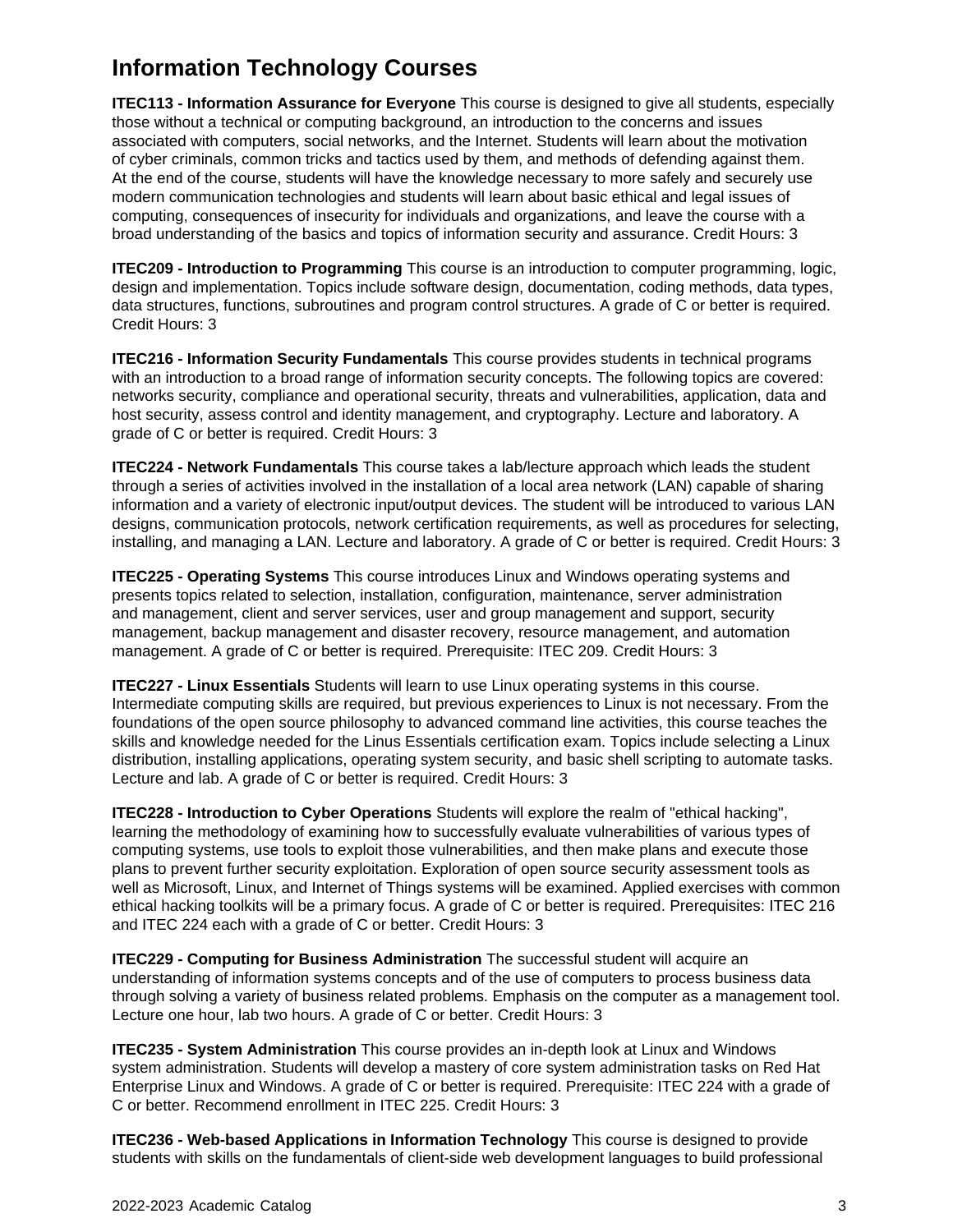# **Information Technology Courses**

**ITEC113 - Information Assurance for Everyone** This course is designed to give all students, especially those without a technical or computing background, an introduction to the concerns and issues associated with computers, social networks, and the Internet. Students will learn about the motivation of cyber criminals, common tricks and tactics used by them, and methods of defending against them. At the end of the course, students will have the knowledge necessary to more safely and securely use modern communication technologies and students will learn about basic ethical and legal issues of computing, consequences of insecurity for individuals and organizations, and leave the course with a broad understanding of the basics and topics of information security and assurance. Credit Hours: 3

**ITEC209 - Introduction to Programming** This course is an introduction to computer programming, logic, design and implementation. Topics include software design, documentation, coding methods, data types, data structures, functions, subroutines and program control structures. A grade of C or better is required. Credit Hours: 3

**ITEC216 - Information Security Fundamentals** This course provides students in technical programs with an introduction to a broad range of information security concepts. The following topics are covered: networks security, compliance and operational security, threats and vulnerabilities, application, data and host security, assess control and identity management, and cryptography. Lecture and laboratory. A grade of C or better is required. Credit Hours: 3

**ITEC224 - Network Fundamentals** This course takes a lab/lecture approach which leads the student through a series of activities involved in the installation of a local area network (LAN) capable of sharing information and a variety of electronic input/output devices. The student will be introduced to various LAN designs, communication protocols, network certification requirements, as well as procedures for selecting, installing, and managing a LAN. Lecture and laboratory. A grade of C or better is required. Credit Hours: 3

**ITEC225 - Operating Systems** This course introduces Linux and Windows operating systems and presents topics related to selection, installation, configuration, maintenance, server administration and management, client and server services, user and group management and support, security management, backup management and disaster recovery, resource management, and automation management. A grade of C or better is required. Prerequisite: ITEC 209. Credit Hours: 3

**ITEC227 - Linux Essentials** Students will learn to use Linux operating systems in this course. Intermediate computing skills are required, but previous experiences to Linux is not necessary. From the foundations of the open source philosophy to advanced command line activities, this course teaches the skills and knowledge needed for the Linus Essentials certification exam. Topics include selecting a Linux distribution, installing applications, operating system security, and basic shell scripting to automate tasks. Lecture and lab. A grade of C or better is required. Credit Hours: 3

**ITEC228 - Introduction to Cyber Operations** Students will explore the realm of "ethical hacking", learning the methodology of examining how to successfully evaluate vulnerabilities of various types of computing systems, use tools to exploit those vulnerabilities, and then make plans and execute those plans to prevent further security exploitation. Exploration of open source security assessment tools as well as Microsoft, Linux, and Internet of Things systems will be examined. Applied exercises with common ethical hacking toolkits will be a primary focus. A grade of C or better is required. Prerequisites: ITEC 216 and ITEC 224 each with a grade of C or better. Credit Hours: 3

**ITEC229 - Computing for Business Administration** The successful student will acquire an understanding of information systems concepts and of the use of computers to process business data through solving a variety of business related problems. Emphasis on the computer as a management tool. Lecture one hour, lab two hours. A grade of C or better. Credit Hours: 3

**ITEC235 - System Administration** This course provides an in-depth look at Linux and Windows system administration. Students will develop a mastery of core system administration tasks on Red Hat Enterprise Linux and Windows. A grade of C or better is required. Prerequisite: ITEC 224 with a grade of C or better. Recommend enrollment in ITEC 225. Credit Hours: 3

**ITEC236 - Web-based Applications in Information Technology** This course is designed to provide students with skills on the fundamentals of client-side web development languages to build professional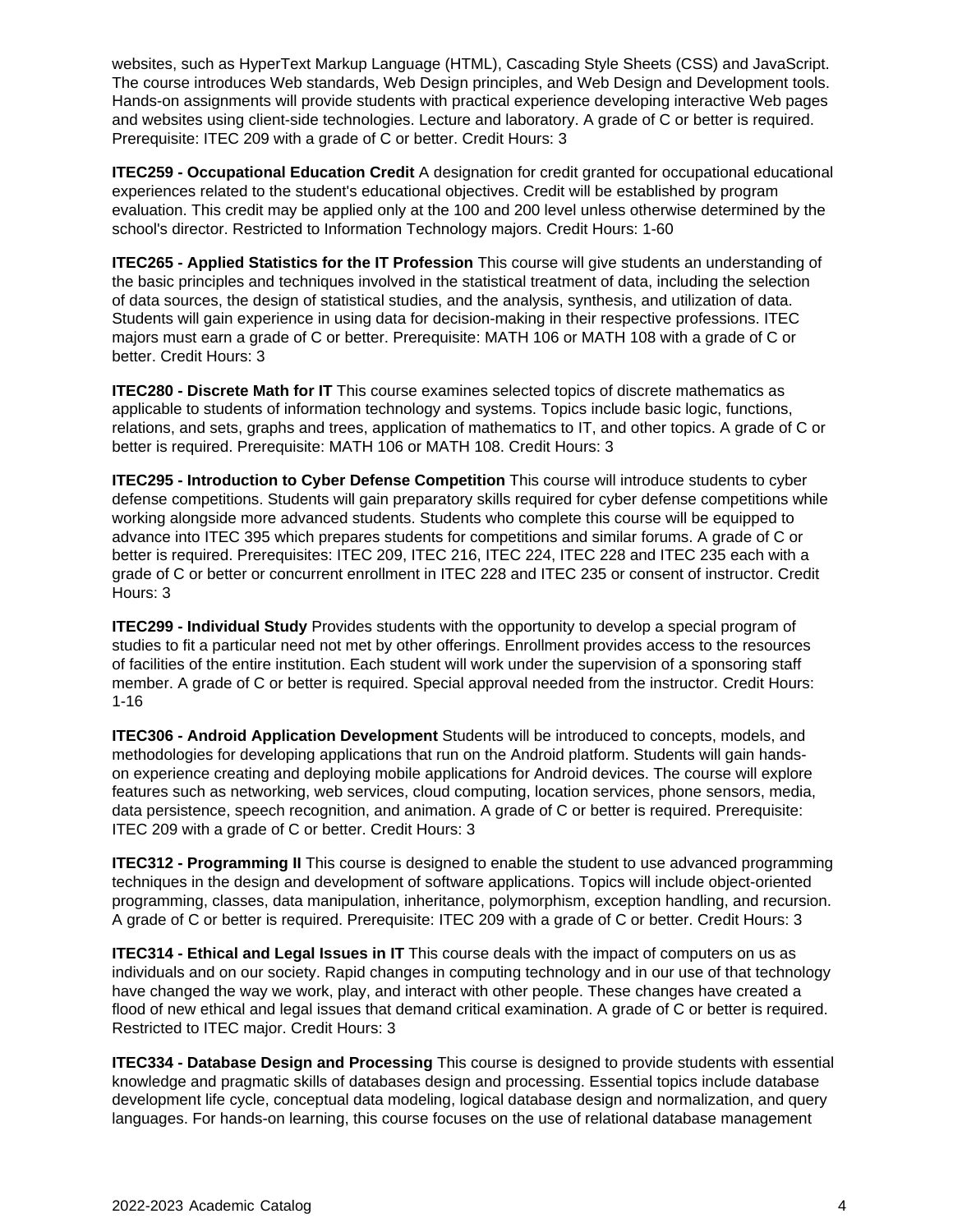websites, such as HyperText Markup Language (HTML), Cascading Style Sheets (CSS) and JavaScript. The course introduces Web standards, Web Design principles, and Web Design and Development tools. Hands-on assignments will provide students with practical experience developing interactive Web pages and websites using client-side technologies. Lecture and laboratory. A grade of C or better is required. Prerequisite: ITEC 209 with a grade of C or better. Credit Hours: 3

**ITEC259 - Occupational Education Credit** A designation for credit granted for occupational educational experiences related to the student's educational objectives. Credit will be established by program evaluation. This credit may be applied only at the 100 and 200 level unless otherwise determined by the school's director. Restricted to Information Technology majors. Credit Hours: 1-60

**ITEC265 - Applied Statistics for the IT Profession** This course will give students an understanding of the basic principles and techniques involved in the statistical treatment of data, including the selection of data sources, the design of statistical studies, and the analysis, synthesis, and utilization of data. Students will gain experience in using data for decision-making in their respective professions. ITEC majors must earn a grade of C or better. Prerequisite: MATH 106 or MATH 108 with a grade of C or better. Credit Hours: 3

**ITEC280 - Discrete Math for IT** This course examines selected topics of discrete mathematics as applicable to students of information technology and systems. Topics include basic logic, functions, relations, and sets, graphs and trees, application of mathematics to IT, and other topics. A grade of C or better is required. Prerequisite: MATH 106 or MATH 108. Credit Hours: 3

**ITEC295 - Introduction to Cyber Defense Competition** This course will introduce students to cyber defense competitions. Students will gain preparatory skills required for cyber defense competitions while working alongside more advanced students. Students who complete this course will be equipped to advance into ITEC 395 which prepares students for competitions and similar forums. A grade of C or better is required. Prerequisites: ITEC 209, ITEC 216, ITEC 224, ITEC 228 and ITEC 235 each with a grade of C or better or concurrent enrollment in ITEC 228 and ITEC 235 or consent of instructor. Credit Hours: 3

**ITEC299 - Individual Study** Provides students with the opportunity to develop a special program of studies to fit a particular need not met by other offerings. Enrollment provides access to the resources of facilities of the entire institution. Each student will work under the supervision of a sponsoring staff member. A grade of C or better is required. Special approval needed from the instructor. Credit Hours: 1-16

**ITEC306 - Android Application Development** Students will be introduced to concepts, models, and methodologies for developing applications that run on the Android platform. Students will gain handson experience creating and deploying mobile applications for Android devices. The course will explore features such as networking, web services, cloud computing, location services, phone sensors, media, data persistence, speech recognition, and animation. A grade of C or better is required. Prerequisite: ITEC 209 with a grade of C or better. Credit Hours: 3

**ITEC312 - Programming II** This course is designed to enable the student to use advanced programming techniques in the design and development of software applications. Topics will include object-oriented programming, classes, data manipulation, inheritance, polymorphism, exception handling, and recursion. A grade of C or better is required. Prerequisite: ITEC 209 with a grade of C or better. Credit Hours: 3

**ITEC314 - Ethical and Legal Issues in IT** This course deals with the impact of computers on us as individuals and on our society. Rapid changes in computing technology and in our use of that technology have changed the way we work, play, and interact with other people. These changes have created a flood of new ethical and legal issues that demand critical examination. A grade of C or better is required. Restricted to ITEC major. Credit Hours: 3

**ITEC334 - Database Design and Processing** This course is designed to provide students with essential knowledge and pragmatic skills of databases design and processing. Essential topics include database development life cycle, conceptual data modeling, logical database design and normalization, and query languages. For hands-on learning, this course focuses on the use of relational database management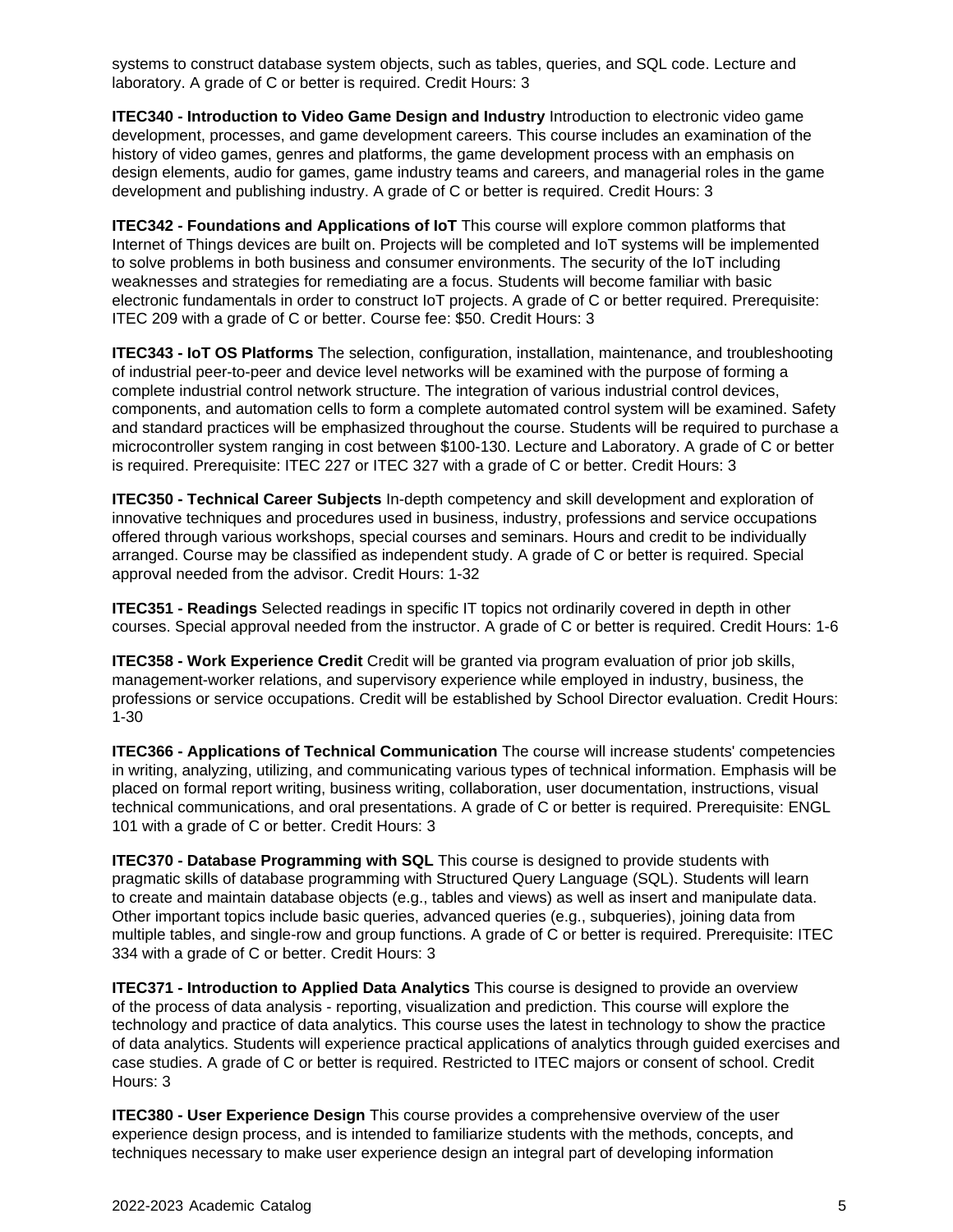systems to construct database system objects, such as tables, queries, and SQL code. Lecture and laboratory. A grade of C or better is required. Credit Hours: 3

**ITEC340 - Introduction to Video Game Design and Industry** Introduction to electronic video game development, processes, and game development careers. This course includes an examination of the history of video games, genres and platforms, the game development process with an emphasis on design elements, audio for games, game industry teams and careers, and managerial roles in the game development and publishing industry. A grade of C or better is required. Credit Hours: 3

**ITEC342 - Foundations and Applications of IoT** This course will explore common platforms that Internet of Things devices are built on. Projects will be completed and IoT systems will be implemented to solve problems in both business and consumer environments. The security of the IoT including weaknesses and strategies for remediating are a focus. Students will become familiar with basic electronic fundamentals in order to construct IoT projects. A grade of C or better required. Prerequisite: ITEC 209 with a grade of C or better. Course fee: \$50. Credit Hours: 3

**ITEC343 - IoT OS Platforms** The selection, configuration, installation, maintenance, and troubleshooting of industrial peer-to-peer and device level networks will be examined with the purpose of forming a complete industrial control network structure. The integration of various industrial control devices, components, and automation cells to form a complete automated control system will be examined. Safety and standard practices will be emphasized throughout the course. Students will be required to purchase a microcontroller system ranging in cost between \$100-130. Lecture and Laboratory. A grade of C or better is required. Prerequisite: ITEC 227 or ITEC 327 with a grade of C or better. Credit Hours: 3

**ITEC350 - Technical Career Subjects** In-depth competency and skill development and exploration of innovative techniques and procedures used in business, industry, professions and service occupations offered through various workshops, special courses and seminars. Hours and credit to be individually arranged. Course may be classified as independent study. A grade of C or better is required. Special approval needed from the advisor. Credit Hours: 1-32

**ITEC351 - Readings** Selected readings in specific IT topics not ordinarily covered in depth in other courses. Special approval needed from the instructor. A grade of C or better is required. Credit Hours: 1-6

**ITEC358 - Work Experience Credit** Credit will be granted via program evaluation of prior job skills, management-worker relations, and supervisory experience while employed in industry, business, the professions or service occupations. Credit will be established by School Director evaluation. Credit Hours: 1-30

**ITEC366 - Applications of Technical Communication** The course will increase students' competencies in writing, analyzing, utilizing, and communicating various types of technical information. Emphasis will be placed on formal report writing, business writing, collaboration, user documentation, instructions, visual technical communications, and oral presentations. A grade of C or better is required. Prerequisite: ENGL 101 with a grade of C or better. Credit Hours: 3

**ITEC370 - Database Programming with SQL** This course is designed to provide students with pragmatic skills of database programming with Structured Query Language (SQL). Students will learn to create and maintain database objects (e.g., tables and views) as well as insert and manipulate data. Other important topics include basic queries, advanced queries (e.g., subqueries), joining data from multiple tables, and single-row and group functions. A grade of C or better is required. Prerequisite: ITEC 334 with a grade of C or better. Credit Hours: 3

**ITEC371 - Introduction to Applied Data Analytics** This course is designed to provide an overview of the process of data analysis - reporting, visualization and prediction. This course will explore the technology and practice of data analytics. This course uses the latest in technology to show the practice of data analytics. Students will experience practical applications of analytics through guided exercises and case studies. A grade of C or better is required. Restricted to ITEC majors or consent of school. Credit Hours: 3

**ITEC380 - User Experience Design** This course provides a comprehensive overview of the user experience design process, and is intended to familiarize students with the methods, concepts, and techniques necessary to make user experience design an integral part of developing information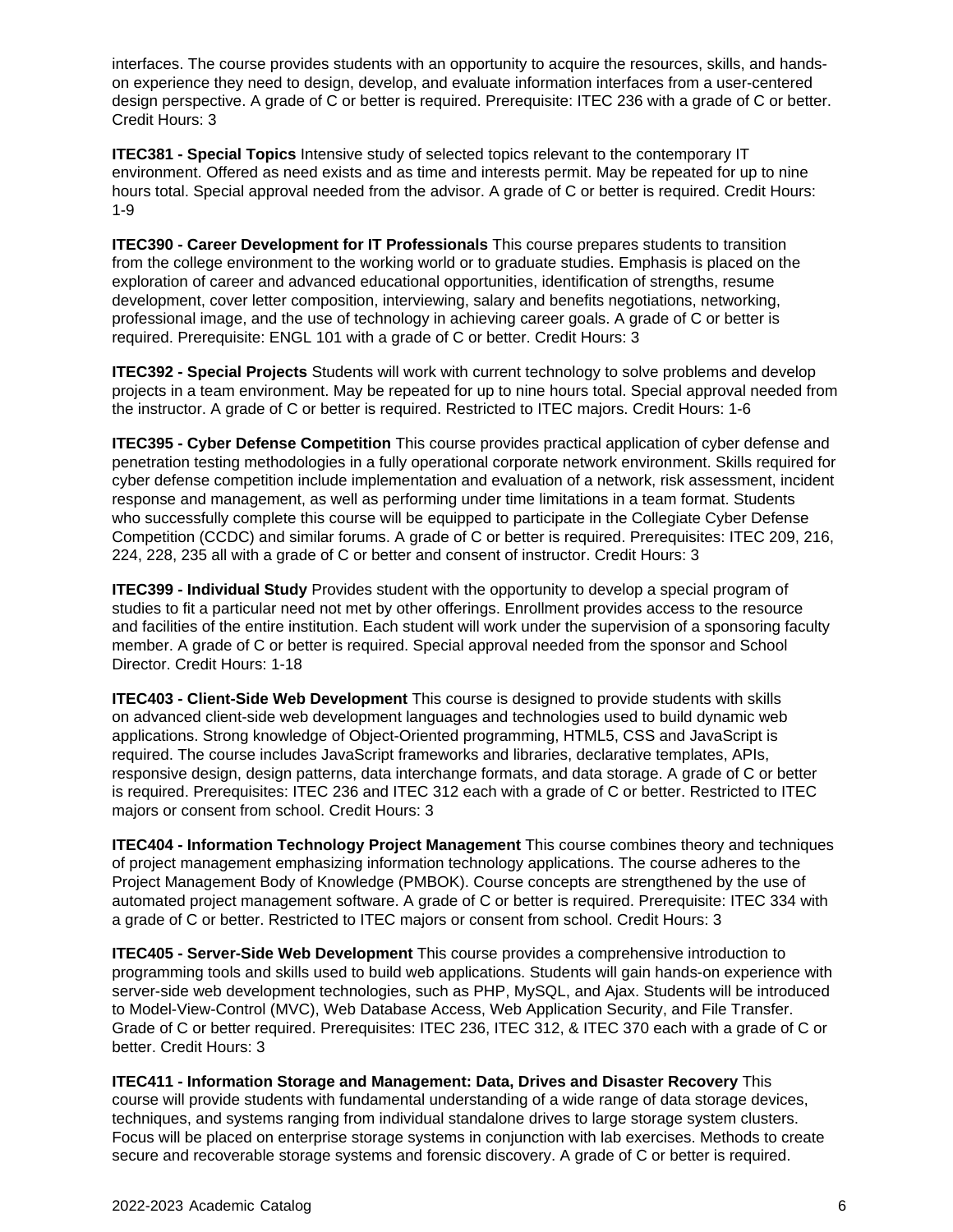interfaces. The course provides students with an opportunity to acquire the resources, skills, and handson experience they need to design, develop, and evaluate information interfaces from a user-centered design perspective. A grade of C or better is required. Prerequisite: ITEC 236 with a grade of C or better. Credit Hours: 3

**ITEC381 - Special Topics** Intensive study of selected topics relevant to the contemporary IT environment. Offered as need exists and as time and interests permit. May be repeated for up to nine hours total. Special approval needed from the advisor. A grade of C or better is required. Credit Hours: 1-9

**ITEC390 - Career Development for IT Professionals** This course prepares students to transition from the college environment to the working world or to graduate studies. Emphasis is placed on the exploration of career and advanced educational opportunities, identification of strengths, resume development, cover letter composition, interviewing, salary and benefits negotiations, networking, professional image, and the use of technology in achieving career goals. A grade of C or better is required. Prerequisite: ENGL 101 with a grade of C or better. Credit Hours: 3

**ITEC392 - Special Projects** Students will work with current technology to solve problems and develop projects in a team environment. May be repeated for up to nine hours total. Special approval needed from the instructor. A grade of C or better is required. Restricted to ITEC majors. Credit Hours: 1-6

**ITEC395 - Cyber Defense Competition** This course provides practical application of cyber defense and penetration testing methodologies in a fully operational corporate network environment. Skills required for cyber defense competition include implementation and evaluation of a network, risk assessment, incident response and management, as well as performing under time limitations in a team format. Students who successfully complete this course will be equipped to participate in the Collegiate Cyber Defense Competition (CCDC) and similar forums. A grade of C or better is required. Prerequisites: ITEC 209, 216, 224, 228, 235 all with a grade of C or better and consent of instructor. Credit Hours: 3

**ITEC399 - Individual Study** Provides student with the opportunity to develop a special program of studies to fit a particular need not met by other offerings. Enrollment provides access to the resource and facilities of the entire institution. Each student will work under the supervision of a sponsoring faculty member. A grade of C or better is required. Special approval needed from the sponsor and School Director. Credit Hours: 1-18

**ITEC403 - Client-Side Web Development** This course is designed to provide students with skills on advanced client-side web development languages and technologies used to build dynamic web applications. Strong knowledge of Object-Oriented programming, HTML5, CSS and JavaScript is required. The course includes JavaScript frameworks and libraries, declarative templates, APIs, responsive design, design patterns, data interchange formats, and data storage. A grade of C or better is required. Prerequisites: ITEC 236 and ITEC 312 each with a grade of C or better. Restricted to ITEC majors or consent from school. Credit Hours: 3

**ITEC404 - Information Technology Project Management** This course combines theory and techniques of project management emphasizing information technology applications. The course adheres to the Project Management Body of Knowledge (PMBOK). Course concepts are strengthened by the use of automated project management software. A grade of C or better is required. Prerequisite: ITEC 334 with a grade of C or better. Restricted to ITEC majors or consent from school. Credit Hours: 3

**ITEC405 - Server-Side Web Development** This course provides a comprehensive introduction to programming tools and skills used to build web applications. Students will gain hands-on experience with server-side web development technologies, such as PHP, MySQL, and Ajax. Students will be introduced to Model-View-Control (MVC), Web Database Access, Web Application Security, and File Transfer. Grade of C or better required. Prerequisites: ITEC 236, ITEC 312, & ITEC 370 each with a grade of C or better. Credit Hours: 3

**ITEC411 - Information Storage and Management: Data, Drives and Disaster Recovery** This course will provide students with fundamental understanding of a wide range of data storage devices, techniques, and systems ranging from individual standalone drives to large storage system clusters. Focus will be placed on enterprise storage systems in conjunction with lab exercises. Methods to create secure and recoverable storage systems and forensic discovery. A grade of C or better is required.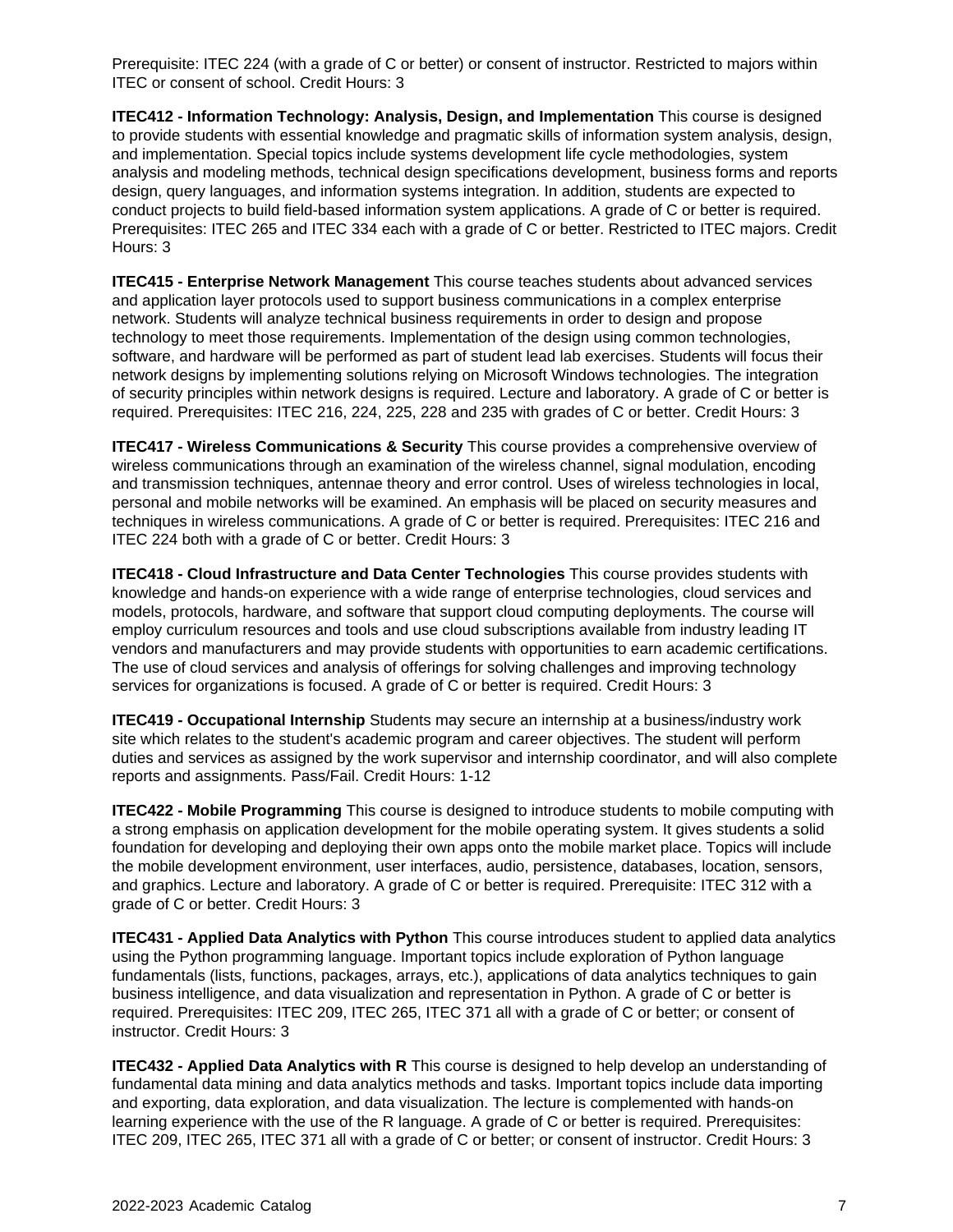Prerequisite: ITEC 224 (with a grade of C or better) or consent of instructor. Restricted to majors within ITEC or consent of school. Credit Hours: 3

**ITEC412 - Information Technology: Analysis, Design, and Implementation** This course is designed to provide students with essential knowledge and pragmatic skills of information system analysis, design, and implementation. Special topics include systems development life cycle methodologies, system analysis and modeling methods, technical design specifications development, business forms and reports design, query languages, and information systems integration. In addition, students are expected to conduct projects to build field-based information system applications. A grade of C or better is required. Prerequisites: ITEC 265 and ITEC 334 each with a grade of C or better. Restricted to ITEC majors. Credit Hours: 3

**ITEC415 - Enterprise Network Management** This course teaches students about advanced services and application layer protocols used to support business communications in a complex enterprise network. Students will analyze technical business requirements in order to design and propose technology to meet those requirements. Implementation of the design using common technologies, software, and hardware will be performed as part of student lead lab exercises. Students will focus their network designs by implementing solutions relying on Microsoft Windows technologies. The integration of security principles within network designs is required. Lecture and laboratory. A grade of C or better is required. Prerequisites: ITEC 216, 224, 225, 228 and 235 with grades of C or better. Credit Hours: 3

**ITEC417 - Wireless Communications & Security** This course provides a comprehensive overview of wireless communications through an examination of the wireless channel, signal modulation, encoding and transmission techniques, antennae theory and error control. Uses of wireless technologies in local, personal and mobile networks will be examined. An emphasis will be placed on security measures and techniques in wireless communications. A grade of C or better is required. Prerequisites: ITEC 216 and ITEC 224 both with a grade of C or better. Credit Hours: 3

**ITEC418 - Cloud Infrastructure and Data Center Technologies** This course provides students with knowledge and hands-on experience with a wide range of enterprise technologies, cloud services and models, protocols, hardware, and software that support cloud computing deployments. The course will employ curriculum resources and tools and use cloud subscriptions available from industry leading IT vendors and manufacturers and may provide students with opportunities to earn academic certifications. The use of cloud services and analysis of offerings for solving challenges and improving technology services for organizations is focused. A grade of C or better is required. Credit Hours: 3

**ITEC419 - Occupational Internship** Students may secure an internship at a business/industry work site which relates to the student's academic program and career objectives. The student will perform duties and services as assigned by the work supervisor and internship coordinator, and will also complete reports and assignments. Pass/Fail. Credit Hours: 1-12

**ITEC422 - Mobile Programming** This course is designed to introduce students to mobile computing with a strong emphasis on application development for the mobile operating system. It gives students a solid foundation for developing and deploying their own apps onto the mobile market place. Topics will include the mobile development environment, user interfaces, audio, persistence, databases, location, sensors, and graphics. Lecture and laboratory. A grade of C or better is required. Prerequisite: ITEC 312 with a grade of C or better. Credit Hours: 3

**ITEC431 - Applied Data Analytics with Python** This course introduces student to applied data analytics using the Python programming language. Important topics include exploration of Python language fundamentals (lists, functions, packages, arrays, etc.), applications of data analytics techniques to gain business intelligence, and data visualization and representation in Python. A grade of C or better is required. Prerequisites: ITEC 209, ITEC 265, ITEC 371 all with a grade of C or better; or consent of instructor. Credit Hours: 3

**ITEC432 - Applied Data Analytics with R** This course is designed to help develop an understanding of fundamental data mining and data analytics methods and tasks. Important topics include data importing and exporting, data exploration, and data visualization. The lecture is complemented with hands-on learning experience with the use of the R language. A grade of C or better is required. Prerequisites: ITEC 209, ITEC 265, ITEC 371 all with a grade of C or better; or consent of instructor. Credit Hours: 3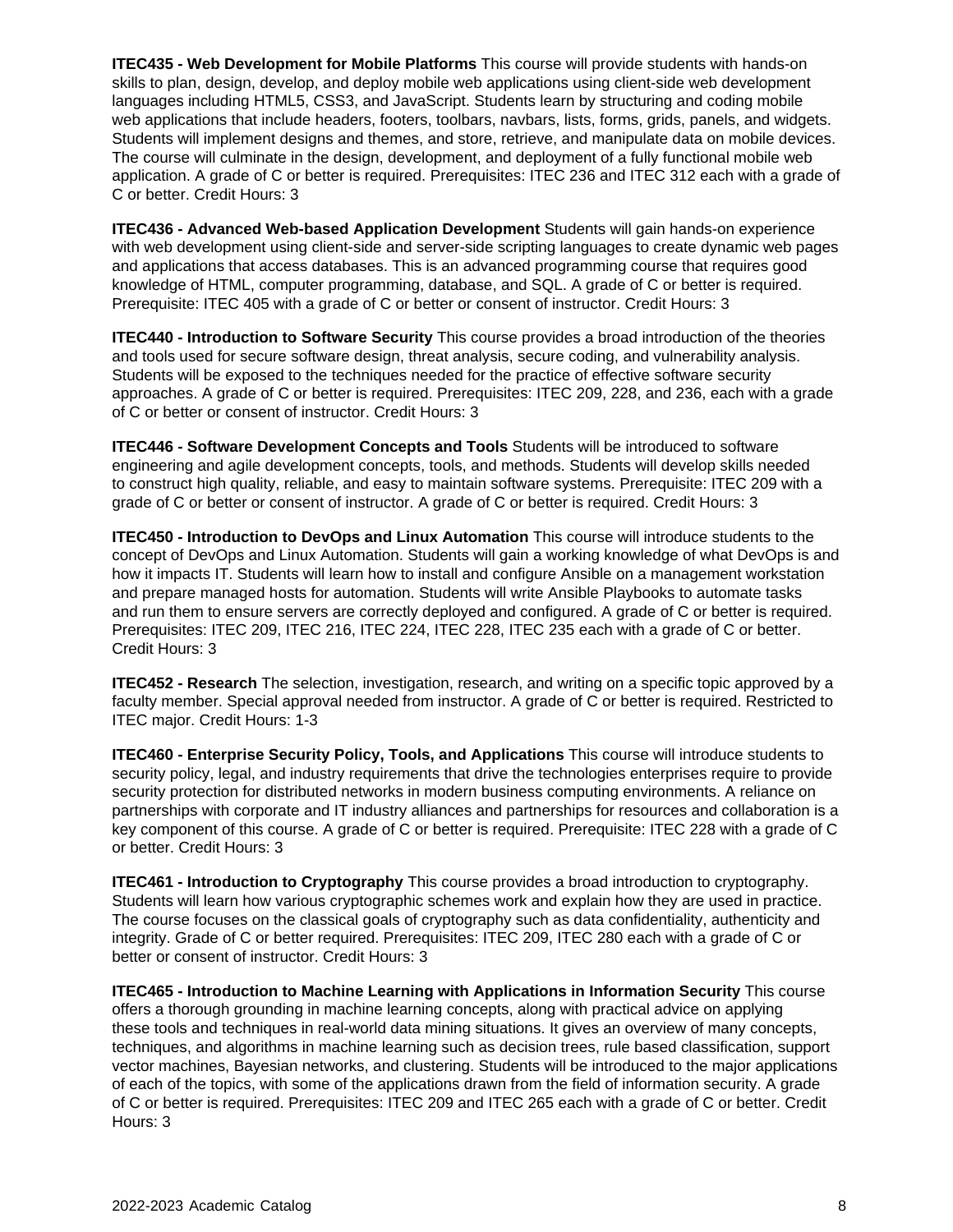**ITEC435 - Web Development for Mobile Platforms** This course will provide students with hands-on skills to plan, design, develop, and deploy mobile web applications using client-side web development languages including HTML5, CSS3, and JavaScript. Students learn by structuring and coding mobile web applications that include headers, footers, toolbars, navbars, lists, forms, grids, panels, and widgets. Students will implement designs and themes, and store, retrieve, and manipulate data on mobile devices. The course will culminate in the design, development, and deployment of a fully functional mobile web application. A grade of C or better is required. Prerequisites: ITEC 236 and ITEC 312 each with a grade of C or better. Credit Hours: 3

**ITEC436 - Advanced Web-based Application Development** Students will gain hands-on experience with web development using client-side and server-side scripting languages to create dynamic web pages and applications that access databases. This is an advanced programming course that requires good knowledge of HTML, computer programming, database, and SQL. A grade of C or better is required. Prerequisite: ITEC 405 with a grade of C or better or consent of instructor. Credit Hours: 3

**ITEC440 - Introduction to Software Security** This course provides a broad introduction of the theories and tools used for secure software design, threat analysis, secure coding, and vulnerability analysis. Students will be exposed to the techniques needed for the practice of effective software security approaches. A grade of C or better is required. Prerequisites: ITEC 209, 228, and 236, each with a grade of C or better or consent of instructor. Credit Hours: 3

**ITEC446 - Software Development Concepts and Tools** Students will be introduced to software engineering and agile development concepts, tools, and methods. Students will develop skills needed to construct high quality, reliable, and easy to maintain software systems. Prerequisite: ITEC 209 with a grade of C or better or consent of instructor. A grade of C or better is required. Credit Hours: 3

**ITEC450 - Introduction to DevOps and Linux Automation** This course will introduce students to the concept of DevOps and Linux Automation. Students will gain a working knowledge of what DevOps is and how it impacts IT. Students will learn how to install and configure Ansible on a management workstation and prepare managed hosts for automation. Students will write Ansible Playbooks to automate tasks and run them to ensure servers are correctly deployed and configured. A grade of C or better is required. Prerequisites: ITEC 209, ITEC 216, ITEC 224, ITEC 228, ITEC 235 each with a grade of C or better. Credit Hours: 3

**ITEC452 - Research** The selection, investigation, research, and writing on a specific topic approved by a faculty member. Special approval needed from instructor. A grade of C or better is required. Restricted to ITEC major. Credit Hours: 1-3

**ITEC460 - Enterprise Security Policy, Tools, and Applications** This course will introduce students to security policy, legal, and industry requirements that drive the technologies enterprises require to provide security protection for distributed networks in modern business computing environments. A reliance on partnerships with corporate and IT industry alliances and partnerships for resources and collaboration is a key component of this course. A grade of C or better is required. Prerequisite: ITEC 228 with a grade of C or better. Credit Hours: 3

**ITEC461 - Introduction to Cryptography** This course provides a broad introduction to cryptography. Students will learn how various cryptographic schemes work and explain how they are used in practice. The course focuses on the classical goals of cryptography such as data confidentiality, authenticity and integrity. Grade of C or better required. Prerequisites: ITEC 209, ITEC 280 each with a grade of C or better or consent of instructor. Credit Hours: 3

**ITEC465 - Introduction to Machine Learning with Applications in Information Security** This course offers a thorough grounding in machine learning concepts, along with practical advice on applying these tools and techniques in real-world data mining situations. It gives an overview of many concepts, techniques, and algorithms in machine learning such as decision trees, rule based classification, support vector machines, Bayesian networks, and clustering. Students will be introduced to the major applications of each of the topics, with some of the applications drawn from the field of information security. A grade of C or better is required. Prerequisites: ITEC 209 and ITEC 265 each with a grade of C or better. Credit Hours: 3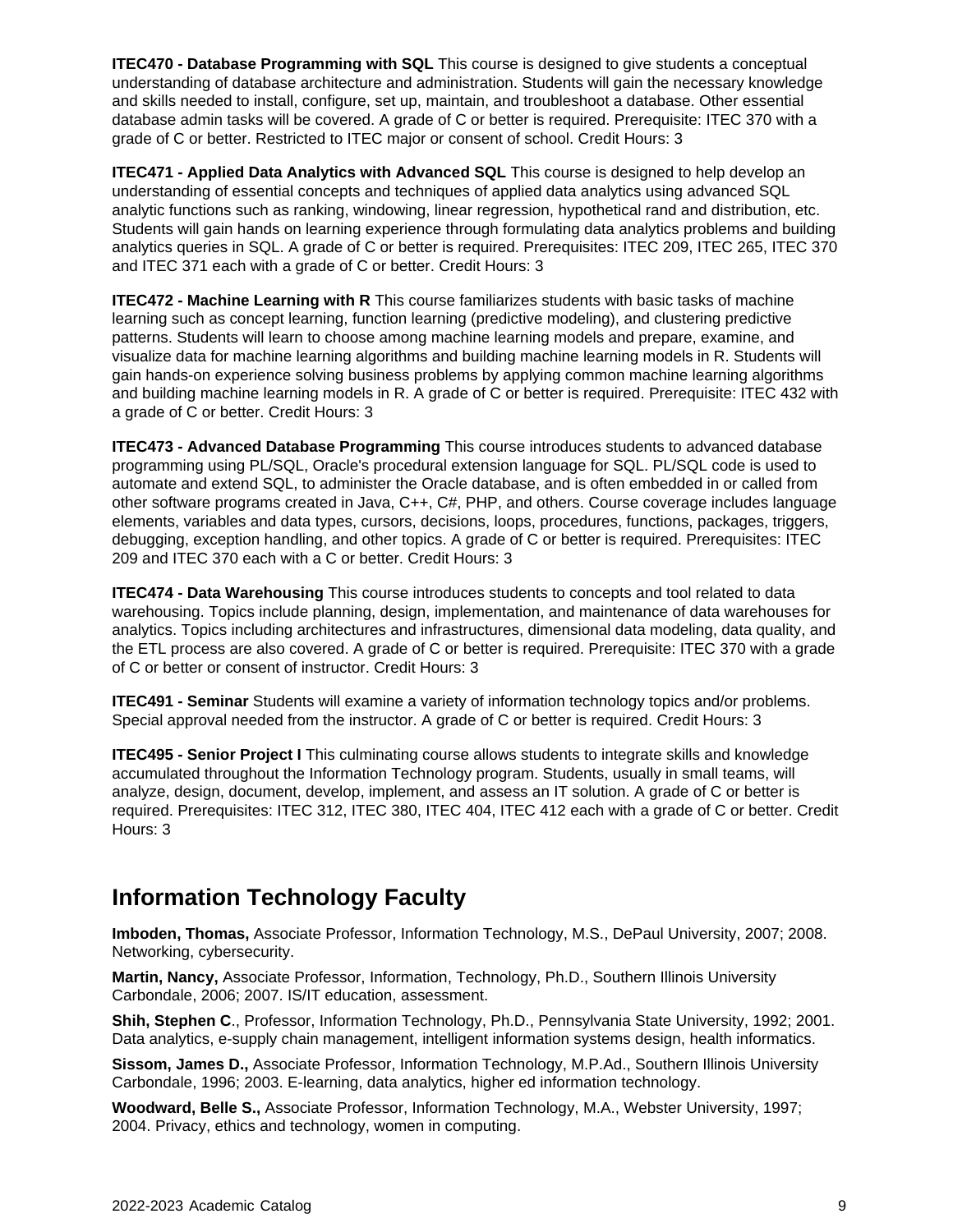**ITEC470 - Database Programming with SQL** This course is designed to give students a conceptual understanding of database architecture and administration. Students will gain the necessary knowledge and skills needed to install, configure, set up, maintain, and troubleshoot a database. Other essential database admin tasks will be covered. A grade of C or better is required. Prerequisite: ITEC 370 with a grade of C or better. Restricted to ITEC major or consent of school. Credit Hours: 3

**ITEC471 - Applied Data Analytics with Advanced SQL** This course is designed to help develop an understanding of essential concepts and techniques of applied data analytics using advanced SQL analytic functions such as ranking, windowing, linear regression, hypothetical rand and distribution, etc. Students will gain hands on learning experience through formulating data analytics problems and building analytics queries in SQL. A grade of C or better is required. Prerequisites: ITEC 209, ITEC 265, ITEC 370 and ITEC 371 each with a grade of C or better. Credit Hours: 3

**ITEC472 - Machine Learning with R** This course familiarizes students with basic tasks of machine learning such as concept learning, function learning (predictive modeling), and clustering predictive patterns. Students will learn to choose among machine learning models and prepare, examine, and visualize data for machine learning algorithms and building machine learning models in R. Students will gain hands-on experience solving business problems by applying common machine learning algorithms and building machine learning models in R. A grade of C or better is required. Prerequisite: ITEC 432 with a grade of C or better. Credit Hours: 3

**ITEC473 - Advanced Database Programming** This course introduces students to advanced database programming using PL/SQL, Oracle's procedural extension language for SQL. PL/SQL code is used to automate and extend SQL, to administer the Oracle database, and is often embedded in or called from other software programs created in Java, C++, C#, PHP, and others. Course coverage includes language elements, variables and data types, cursors, decisions, loops, procedures, functions, packages, triggers, debugging, exception handling, and other topics. A grade of C or better is required. Prerequisites: ITEC 209 and ITEC 370 each with a C or better. Credit Hours: 3

**ITEC474 - Data Warehousing** This course introduces students to concepts and tool related to data warehousing. Topics include planning, design, implementation, and maintenance of data warehouses for analytics. Topics including architectures and infrastructures, dimensional data modeling, data quality, and the ETL process are also covered. A grade of C or better is required. Prerequisite: ITEC 370 with a grade of C or better or consent of instructor. Credit Hours: 3

**ITEC491 - Seminar** Students will examine a variety of information technology topics and/or problems. Special approval needed from the instructor. A grade of C or better is required. Credit Hours: 3

**ITEC495 - Senior Project I** This culminating course allows students to integrate skills and knowledge accumulated throughout the Information Technology program. Students, usually in small teams, will analyze, design, document, develop, implement, and assess an IT solution. A grade of C or better is required. Prerequisites: ITEC 312, ITEC 380, ITEC 404, ITEC 412 each with a grade of C or better. Credit Hours: 3

## **Information Technology Faculty**

**Imboden, Thomas,** Associate Professor, Information Technology, M.S., DePaul University, 2007; 2008. Networking, cybersecurity.

**Martin, Nancy,** Associate Professor, Information, Technology, Ph.D., Southern Illinois University Carbondale, 2006; 2007. IS/IT education, assessment.

**Shih, Stephen C**., Professor, Information Technology, Ph.D., Pennsylvania State University, 1992; 2001. Data analytics, e-supply chain management, intelligent information systems design, health informatics.

**Sissom, James D.,** Associate Professor, Information Technology, M.P.Ad., Southern Illinois University Carbondale, 1996; 2003. E-learning, data analytics, higher ed information technology.

**Woodward, Belle S.,** Associate Professor, Information Technology, M.A., Webster University, 1997; 2004. Privacy, ethics and technology, women in computing.